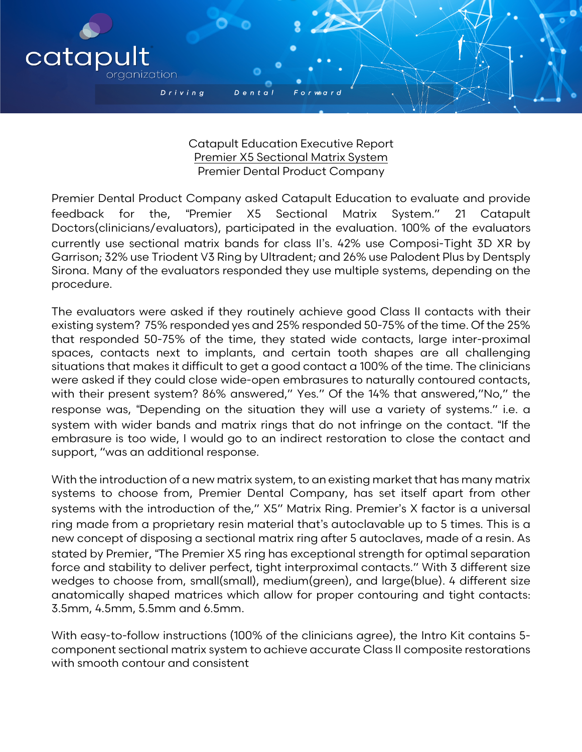

 $D$  enta

catapu

organization

Driving

Premier Dental Product Company asked Catapult Education to evaluate and provide feedback for the, "Premier X5 Sectional Matrix System." 21 Catapult Doctors(clinicians/evaluators), participated in the evaluation. 100% of the evaluators currently use sectional matrix bands for class II"s. 42% use Composi-Tight 3D XR by Garrison; 32% use Triodent V3 Ring by Ultradent; and 26% use Palodent Plus by Dentsply Sirona. Many of the evaluators responded they use multiple systems, depending on the procedure.

The evaluators were asked if they routinely achieve good Class II contacts with their existing system? 75% responded yes and 25% responded 50-75% of the time. Of the 25% that responded 50-75% of the time, they stated wide contacts, large inter-proximal spaces, contacts next to implants, and certain tooth shapes are all challenging situations that makes it difficult to get a good contact a 100% of the time. The clinicians were asked if they could close wide-open embrasures to naturally contoured contacts, with their present system? 86% answered," Yes." Of the 14% that answered,"No," the response was, "Depending on the situation they will use a variety of systems." i.e. a system with wider bands and matrix rings that do not infringe on the contact. "If the embrasure is too wide, I would go to an indirect restoration to close the contact and support, "was an additional response.

With the introduction of a new matrix system, to an existing market that has many matrix systems to choose from, Premier Dental Company, has set itself apart from other systems with the introduction of the," X5" Matrix Ring. Premier's X factor is a universal ring made from a proprietary resin material that"s autoclavable up to 5 times. This is a new concept of disposing a sectional matrix ring after 5 autoclaves, made of a resin. As stated by Premier, "The Premier X5 ring has exceptional strength for optimal separation force and stability to deliver perfect, tight interproximal contacts." With 3 different size wedges to choose from, small(small), medium(green), and large(blue). 4 different size anatomically shaped matrices which allow for proper contouring and tight contacts: 3.5mm, 4.5mm, 5.5mm and 6.5mm.

With easy-to-follow instructions (100% of the clinicians agree), the Intro Kit contains 5 component sectional matrix system to achieve accurate Class II composite restorations with smooth contour and consistent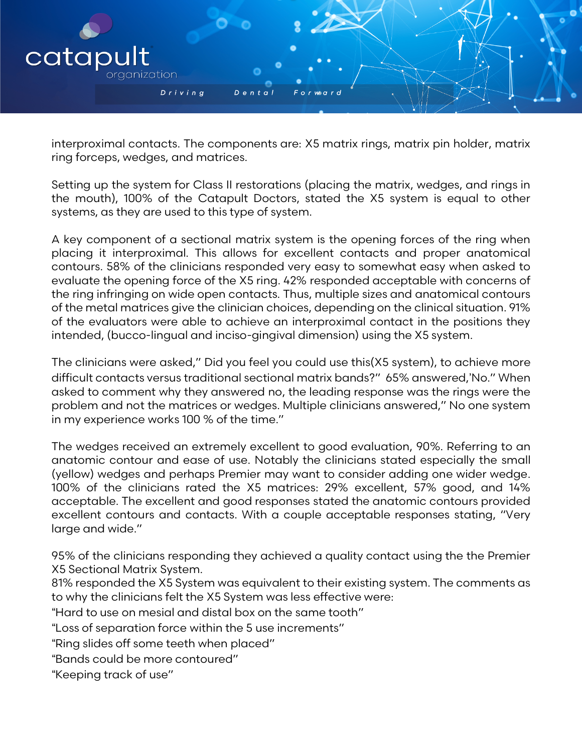

interproximal contacts. The components are: X5 matrix rings, matrix pin holder, matrix ring forceps, wedges, and matrices.

Setting up the system for Class II restorations (placing the matrix, wedges, and rings in the mouth), 100% of the Catapult Doctors, stated the X5 system is equal to other systems, as they are used to this type of system.

A key component of a sectional matrix system is the opening forces of the ring when placing it interproximal. This allows for excellent contacts and proper anatomical contours. 58% of the clinicians responded very easy to somewhat easy when asked to evaluate the opening force of the X5 ring. 42% responded acceptable with concerns of the ring infringing on wide open contacts. Thus, multiple sizes and anatomical contours of the metal matrices give the clinician choices, depending on the clinical situation. 91% of the evaluators were able to achieve an interproximal contact in the positions they intended, (bucco-lingual and inciso-gingival dimension) using the X5 system.

The clinicians were asked," Did you feel you could use this(X5 system), to achieve more difficult contacts versus traditional sectional matrix bands?" 65% answered,"No." When asked to comment why they answered no, the leading response was the rings were the problem and not the matrices or wedges. Multiple clinicians answered," No one system in my experience works 100 % of the time."

The wedges received an extremely excellent to good evaluation, 90%. Referring to an anatomic contour and ease of use. Notably the clinicians stated especially the small (yellow) wedges and perhaps Premier may want to consider adding one wider wedge. 100% of the clinicians rated the X5 matrices: 29% excellent, 57% good, and 14% acceptable. The excellent and good responses stated the anatomic contours provided excellent contours and contacts. With a couple acceptable responses stating, "Very large and wide."

95% of the clinicians responding they achieved a quality contact using the the Premier X5 Sectional Matrix System.

81% responded the X5 System was equivalent to their existing system. The comments as to why the clinicians felt the X5 System was less effective were:

!Hard to use on mesial and distal box on the same tooth"

!Loss of separation force within the 5 use increments"

"Ring slides off some teeth when placed"

!Bands could be more contoured"

"Keeping track of use"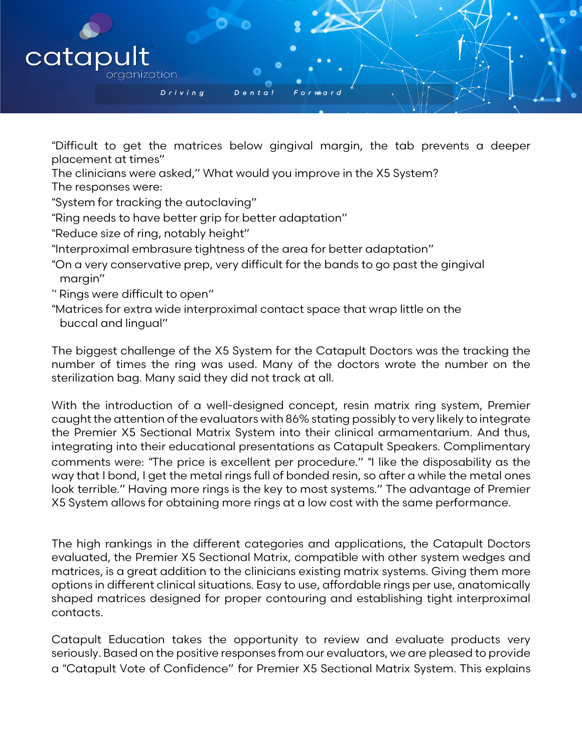

!Difficult to get the matrices below gingival margin, the tab prevents a deeper placement at times"

- The clinicians were asked," What would you improve in the X5 System?
- The responses were:
- !System for tracking the autoclaving"
- "Ring needs to have better grip for better adaptation"
- "Reduce size of ring, notably height"
- !Interproximal embrasure tightness of the area for better adaptation"
- !On a very conservative prep, very difficult for the bands to go past the gingival margin"
- " Rings were difficult to open"
- !Matrices for extra wide interproximal contact space that wrap little on the buccal and lingual"

The biggest challenge of the X5 System for the Catapult Doctors was the tracking the number of times the ring was used. Many of the doctors wrote the number on the sterilization bag. Many said they did not track at all.

With the introduction of a well-designed concept, resin matrix ring system, Premier caught the attention of the evaluators with 86% stating possibly to very likely to integrate the Premier X5 Sectional Matrix System into their clinical armamentarium. And thus, integrating into their educational presentations as Catapult Speakers. Complimentary comments were: "The price is excellent per procedure." "I like the disposability as the way that I bond, I get the metal rings full of bonded resin, so after a while the metal ones look terrible." Having more rings is the key to most systems." The advantage of Premier X5 System allows for obtaining more rings at a low cost with the same performance.

The high rankings in the different categories and applications, the Catapult Doctors evaluated, the Premier X5 Sectional Matrix, compatible with other system wedges and matrices, is a great addition to the clinicians existing matrix systems. Giving them more options in different clinical situations. Easy to use, affordable rings per use, anatomically shaped matrices designed for proper contouring and establishing tight interproximal contacts.

Catapult Education takes the opportunity to review and evaluate products very seriously. Based on the positive responses from our evaluators, we are pleased to provide a !Catapult Vote of Confidence" for Premier X5 Sectional Matrix System. This explains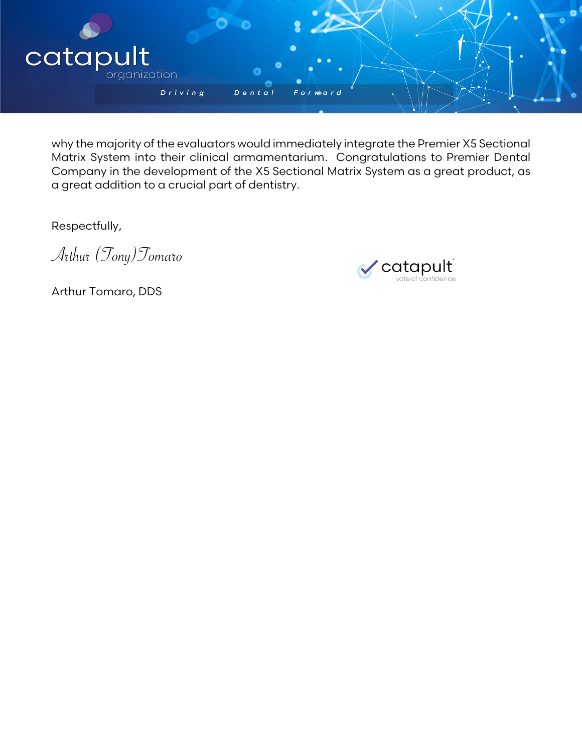

why the majority of the evaluators would immediately integrate the Premier X5 Sectional Matrix System into their clinical armamentarium. Congratulations to Premier Dental Company in the development of the X5 Sectional Matrix System as a great product, as a great addition to a crucial part of dentistry.

Respectfully,

Arthur (Tony)Tomaro



Arthur Tomaro, DDS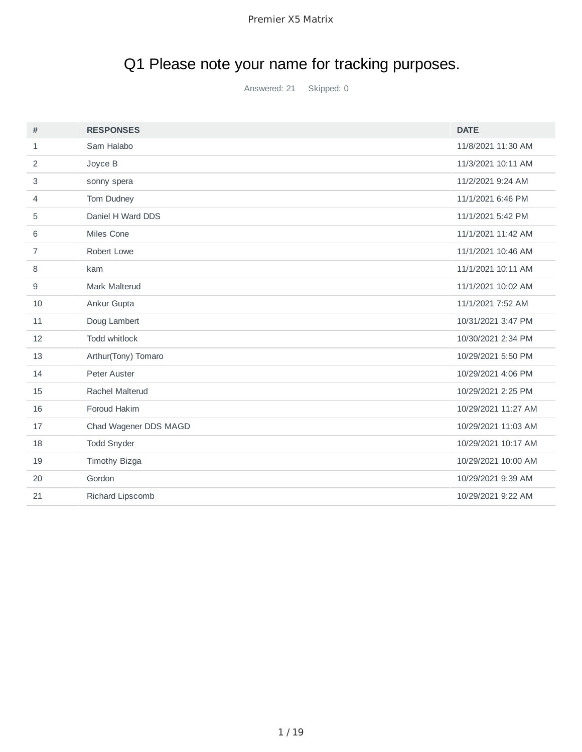# Q1 Please note your name for tracking purposes.

Answered: 21 Skipped: 0

| #              | <b>RESPONSES</b>      | <b>DATE</b>         |
|----------------|-----------------------|---------------------|
| $\mathbf{1}$   | Sam Halabo            | 11/8/2021 11:30 AM  |
| 2              | Joyce B               | 11/3/2021 10:11 AM  |
| 3              | sonny spera           | 11/2/2021 9:24 AM   |
| 4              | Tom Dudney            | 11/1/2021 6:46 PM   |
| 5              | Daniel H Ward DDS     | 11/1/2021 5:42 PM   |
| 6              | Miles Cone            | 11/1/2021 11:42 AM  |
| $\overline{7}$ | Robert Lowe           | 11/1/2021 10:46 AM  |
| 8              | kam                   | 11/1/2021 10:11 AM  |
| 9              | Mark Malterud         | 11/1/2021 10:02 AM  |
| 10             | Ankur Gupta           | 11/1/2021 7:52 AM   |
| 11             | Doug Lambert          | 10/31/2021 3:47 PM  |
| 12             | Todd whitlock         | 10/30/2021 2:34 PM  |
| 13             | Arthur(Tony) Tomaro   | 10/29/2021 5:50 PM  |
| 14             | Peter Auster          | 10/29/2021 4:06 PM  |
| 15             | Rachel Malterud       | 10/29/2021 2:25 PM  |
| 16             | Foroud Hakim          | 10/29/2021 11:27 AM |
| 17             | Chad Wagener DDS MAGD | 10/29/2021 11:03 AM |
| 18             | <b>Todd Snyder</b>    | 10/29/2021 10:17 AM |
| 19             | Timothy Bizga         | 10/29/2021 10:00 AM |
| 20             | Gordon                | 10/29/2021 9:39 AM  |
| 21             | Richard Lipscomb      | 10/29/2021 9:22 AM  |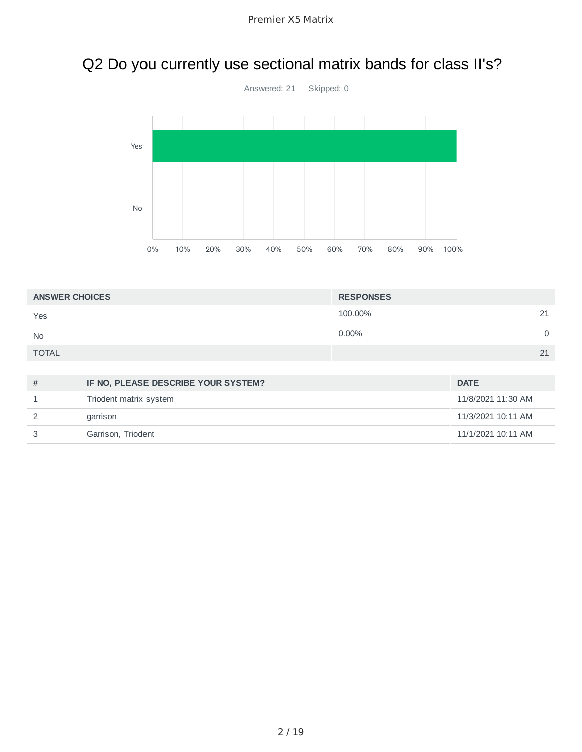## Q2 Do you currently use sectional matrix bands for class II's?



| <b>ANSWER CHOICES</b> | <b>RESPONSES</b> |    |
|-----------------------|------------------|----|
| Yes                   | 100.00%          | 21 |
| <b>No</b>             | $0.00\%$         | 0  |
| <b>TOTAL</b>          |                  | 21 |

| # | IF NO, PLEASE DESCRIBE YOUR SYSTEM? | <b>DATE</b>        |
|---|-------------------------------------|--------------------|
|   | Triodent matrix system              | 11/8/2021 11:30 AM |
|   | garrison                            | 11/3/2021 10:11 AM |
|   | Garrison, Triodent                  | 11/1/2021 10:11 AM |
|   |                                     |                    |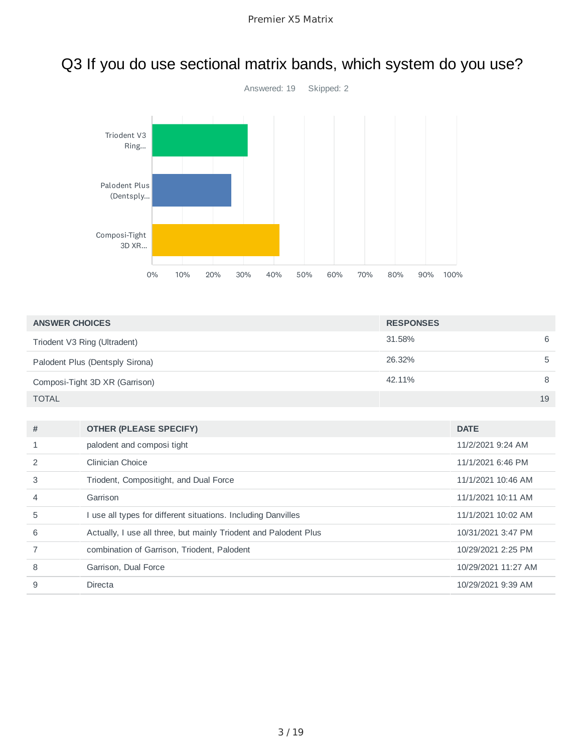

## Q3 If you do use sectional matrix bands, which system do you use?

| <b>ANSWER CHOICES</b>           | <b>RESPONSES</b> |    |
|---------------------------------|------------------|----|
| Triodent V3 Ring (Ultradent)    | 31.58%           | 6  |
| Palodent Plus (Dentsply Sirona) | 26.32%           | b  |
| Composi-Tight 3D XR (Garrison)  | 42.11%           | 8  |
| <b>TOTAL</b>                    |                  | 19 |

| # | <b>OTHER (PLEASE SPECIFY)</b>                                    | <b>DATE</b>         |
|---|------------------------------------------------------------------|---------------------|
|   | palodent and composi tight                                       | 11/2/2021 9:24 AM   |
|   | Clinician Choice                                                 | 11/1/2021 6:46 PM   |
| 3 | Triodent, Compositight, and Dual Force                           | 11/1/2021 10:46 AM  |
| 4 | Garrison                                                         | 11/1/2021 10:11 AM  |
| 5 | I use all types for different situations. Including Danvilles    | 11/1/2021 10:02 AM  |
| 6 | Actually, I use all three, but mainly Triodent and Palodent Plus | 10/31/2021 3:47 PM  |
|   | combination of Garrison, Triodent, Palodent                      | 10/29/2021 2:25 PM  |
| 8 | Garrison, Dual Force                                             | 10/29/2021 11:27 AM |
| 9 | Directa                                                          | 10/29/2021 9:39 AM  |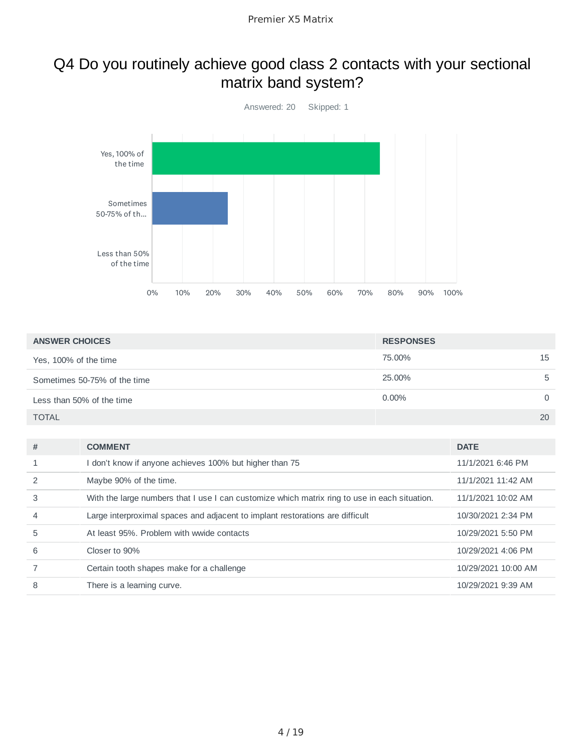## Q4 Do you routinely achieve good class 2 contacts with your sectional matrix band system?



| <b>ANSWER CHOICES</b>        | <b>RESPONSES</b> |          |
|------------------------------|------------------|----------|
| Yes, 100% of the time        | 75.00%           | 15       |
| Sometimes 50-75% of the time | 25.00%           | 5        |
| Less than 50% of the time    | $0.00\%$         | $\Omega$ |
| <b>TOTAL</b>                 |                  | 20       |

| #              | <b>COMMENT</b>                                                                                | <b>DATE</b>         |
|----------------|-----------------------------------------------------------------------------------------------|---------------------|
| $\mathbf{1}$   | don't know if anyone achieves 100% but higher than 75                                         | 11/1/2021 6:46 PM   |
| 2              | Maybe 90% of the time.                                                                        | 11/1/2021 11:42 AM  |
| 3              | With the large numbers that I use I can customize which matrix ring to use in each situation. | 11/1/2021 10:02 AM  |
| $\overline{4}$ | Large interproximal spaces and adjacent to implant restorations are difficult                 | 10/30/2021 2:34 PM  |
| 5              | At least 95%. Problem with wwide contacts                                                     | 10/29/2021 5:50 PM  |
| 6              | Closer to 90%                                                                                 | 10/29/2021 4:06 PM  |
|                | Certain tooth shapes make for a challenge                                                     | 10/29/2021 10:00 AM |
| 8              | There is a learning curve.                                                                    | 10/29/2021 9:39 AM  |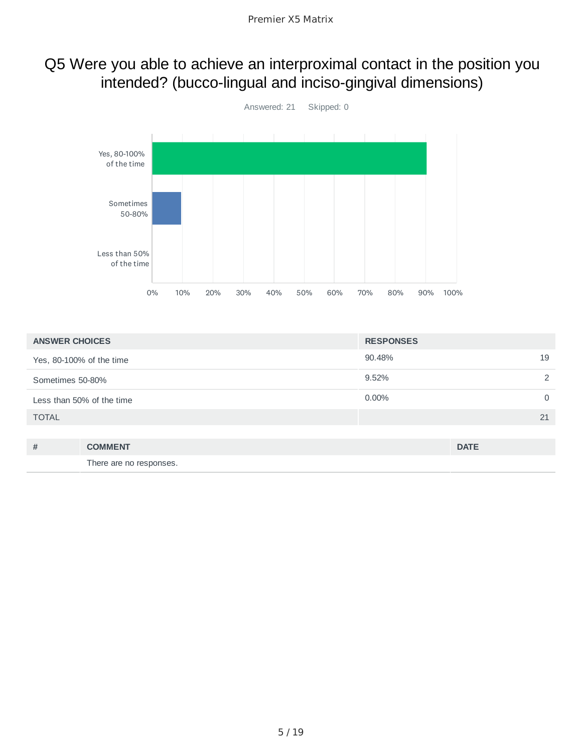#### Q5 Were you able to achieve an interproximal contact in the position you intended? (bucco-lingual and inciso-gingival dimensions)



| <b>ANSWER CHOICES</b>     |                         | <b>RESPONSES</b> |             |
|---------------------------|-------------------------|------------------|-------------|
| Yes, 80-100% of the time  |                         | 90.48%           | 19          |
| Sometimes 50-80%          |                         | 9.52%            | 2           |
| Less than 50% of the time |                         | $0.00\%$         | $\mathbf 0$ |
| <b>TOTAL</b>              |                         |                  | 21          |
|                           |                         |                  |             |
| #                         | <b>COMMENT</b>          |                  | <b>DATE</b> |
|                           | There are no responses. |                  |             |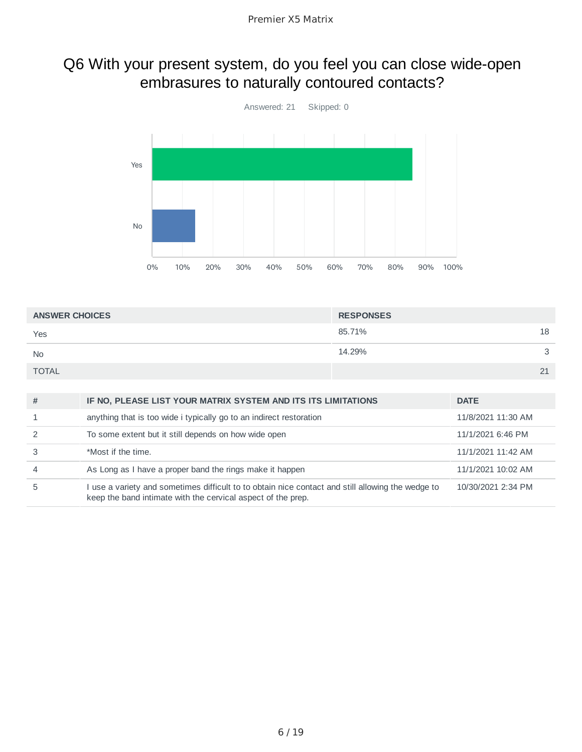#### Q6 With your present system, do you feel you can close wide-open embrasures to naturally contoured contacts?



| <b>ANSWER CHOICES</b> | <b>RESPONSES</b> |   |
|-----------------------|------------------|---|
| Yes                   | 18<br>85.71%     |   |
| <b>No</b>             | 14.29%           | ₽ |
| <b>TOTAL</b>          | 21               |   |

| # | IF NO, PLEASE LIST YOUR MATRIX SYSTEM AND ITS ITS LIMITATIONS                                                                                                     | <b>DATE</b>        |
|---|-------------------------------------------------------------------------------------------------------------------------------------------------------------------|--------------------|
|   | anything that is too wide i typically go to an indirect restoration                                                                                               | 11/8/2021 11:30 AM |
|   | To some extent but it still depends on how wide open                                                                                                              | 11/1/2021 6:46 PM  |
|   | *Most if the time.                                                                                                                                                | 11/1/2021 11:42 AM |
| 4 | As Long as I have a proper band the rings make it happen                                                                                                          | 11/1/2021 10:02 AM |
| 5 | I use a variety and sometimes difficult to to obtain nice contact and still allowing the wedge to<br>keep the band intimate with the cervical aspect of the prep. | 10/30/2021 2:34 PM |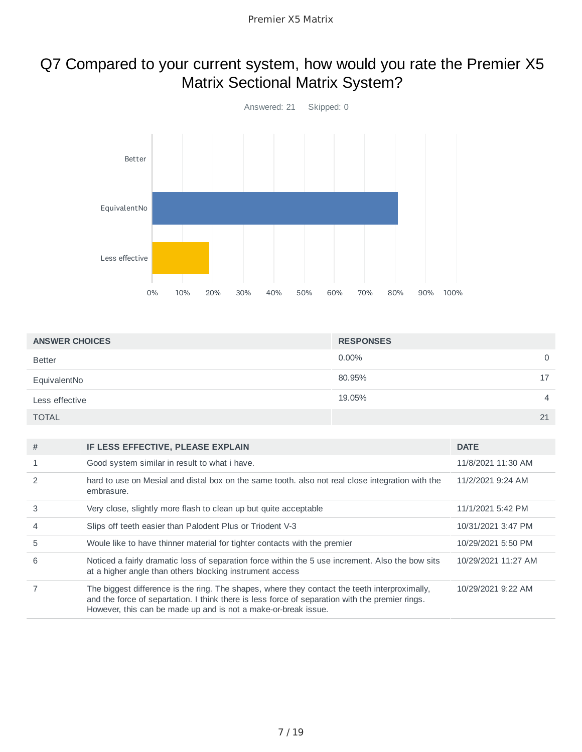#### Q7 Compared to your current system, how would you rate the Premier X5 Matrix Sectional Matrix System?



| <b>ANSWER CHOICES</b> | <b>RESPONSES</b> |                |
|-----------------------|------------------|----------------|
| <b>Better</b>         | $0.00\%$         | 0              |
| EquivalentNo          | 80.95%           | 17             |
| Less effective        | 19.05%           | $\overline{4}$ |
| <b>TOTAL</b>          |                  | 21             |

| #              | IF LESS EFFECTIVE, PLEASE EXPLAIN                                                                                                                                                                                                                                  | <b>DATE</b>         |
|----------------|--------------------------------------------------------------------------------------------------------------------------------------------------------------------------------------------------------------------------------------------------------------------|---------------------|
|                | Good system similar in result to what i have.                                                                                                                                                                                                                      | 11/8/2021 11:30 AM  |
| $\mathcal{P}$  | hard to use on Mesial and distal box on the same tooth, also not real close integration with the<br>embrasure.                                                                                                                                                     | 11/2/2021 9:24 AM   |
| 3              | Very close, slightly more flash to clean up but quite acceptable                                                                                                                                                                                                   | 11/1/2021 5:42 PM   |
| $\overline{4}$ | Slips off teeth easier than Palodent Plus or Triodent V-3                                                                                                                                                                                                          | 10/31/2021 3:47 PM  |
| 5              | Woule like to have thinner material for tighter contacts with the premier                                                                                                                                                                                          | 10/29/2021 5:50 PM  |
| 6              | Noticed a fairly dramatic loss of separation force within the 5 use increment. Also the bow sits<br>at a higher angle than others blocking instrument access                                                                                                       | 10/29/2021 11:27 AM |
|                | The biggest difference is the ring. The shapes, where they contact the teeth interproximally,<br>and the force of separtation. I think there is less force of separation with the premier rings.<br>However, this can be made up and is not a make-or-break issue. | 10/29/2021 9:22 AM  |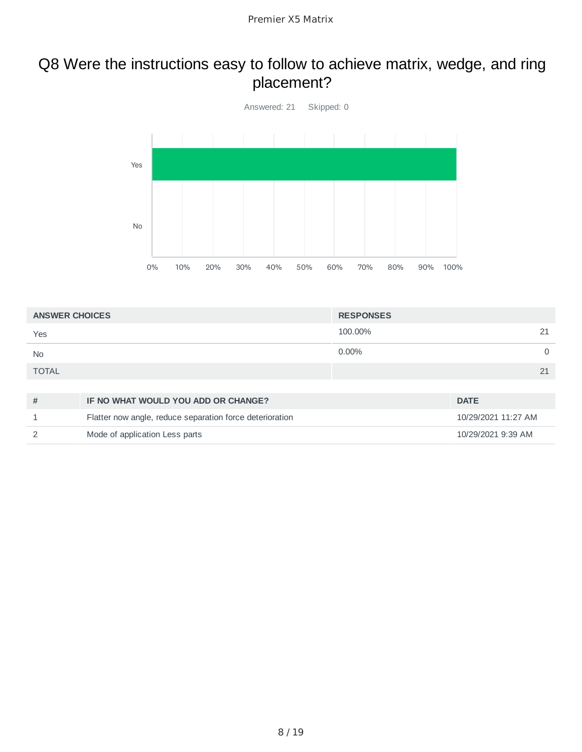#### Q8 Were the instructions easy to follow to achieve matrix, wedge, and ring placement?



| <b>ANSWER CHOICES</b> | <b>RESPONSES</b> |    |
|-----------------------|------------------|----|
| Yes                   | 100.00%          | 21 |
| <b>No</b>             | $0.00\%$         |    |
| <b>TOTAL</b>          |                  | 21 |
|                       |                  |    |

| IF NO WHAT WOULD YOU ADD OR CHANGE?                      | <b>DATE</b>         |
|----------------------------------------------------------|---------------------|
| Flatter now angle, reduce separation force deterioration | 10/29/2021 11:27 AM |
| Mode of application Less parts                           | 10/29/2021 9:39 AM  |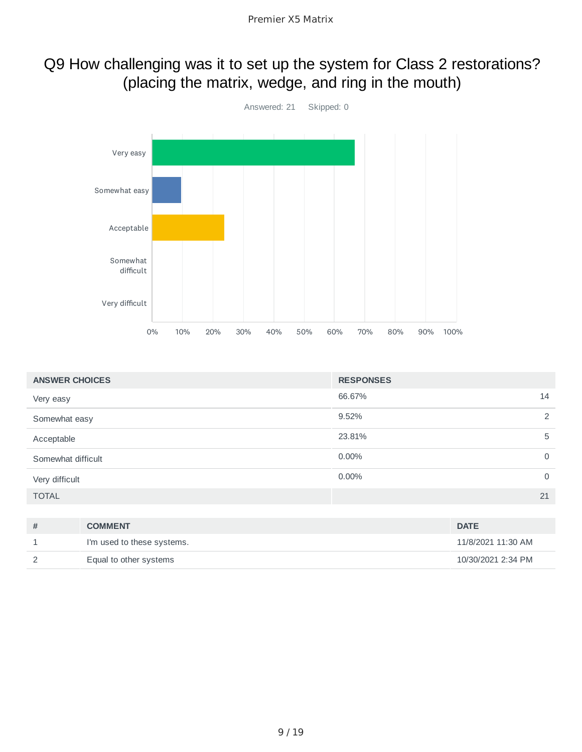#### Q9 How challenging was it to set up the system for Class 2 restorations? (placing the matrix, wedge, and ring in the mouth)



| <b>ANSWER CHOICES</b> | <b>RESPONSES</b>     |
|-----------------------|----------------------|
| Very easy             | 66.67%<br>14         |
| Somewhat easy         | 2<br>9.52%           |
| Acceptable            | 23.81%<br>5          |
| Somewhat difficult    | 0.00%<br>0           |
| Very difficult        | 0.00%<br>$\mathbf 0$ |
| <b>TOTAL</b>          | 21                   |
|                       |                      |

| <b>COMMENT</b>             | <b>DATE</b>        |
|----------------------------|--------------------|
| I'm used to these systems. | 11/8/2021 11:30 AM |
| Equal to other systems     | 10/30/2021 2:34 PM |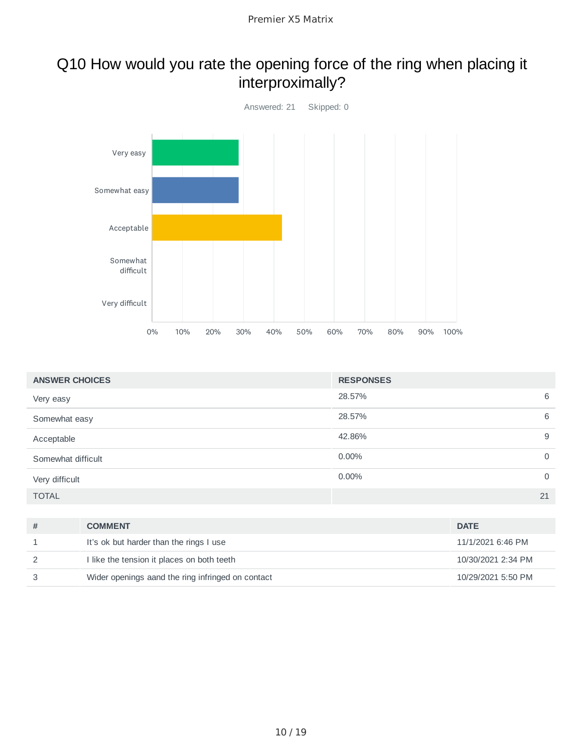#### Q10 How would you rate the opening force of the ring when placing it interproximally?



| <b>ANSWER CHOICES</b> | <b>RESPONSES</b> |             |
|-----------------------|------------------|-------------|
| Very easy             | 28.57%           | 6           |
| Somewhat easy         | 28.57%           | 6           |
| Acceptable            | 42.86%           | 9           |
| Somewhat difficult    | 0.00%            | $\mathbf 0$ |
| Very difficult        | 0.00%            | $\mathbf 0$ |
| <b>TOTAL</b>          |                  | 21          |

| <b>COMMENT</b>                                    | <b>DATE</b>        |
|---------------------------------------------------|--------------------|
| It's ok but harder than the rings I use           | 11/1/2021 6:46 PM  |
| I like the tension it places on both teeth        | 10/30/2021 2:34 PM |
| Wider openings aand the ring infringed on contact | 10/29/2021 5:50 PM |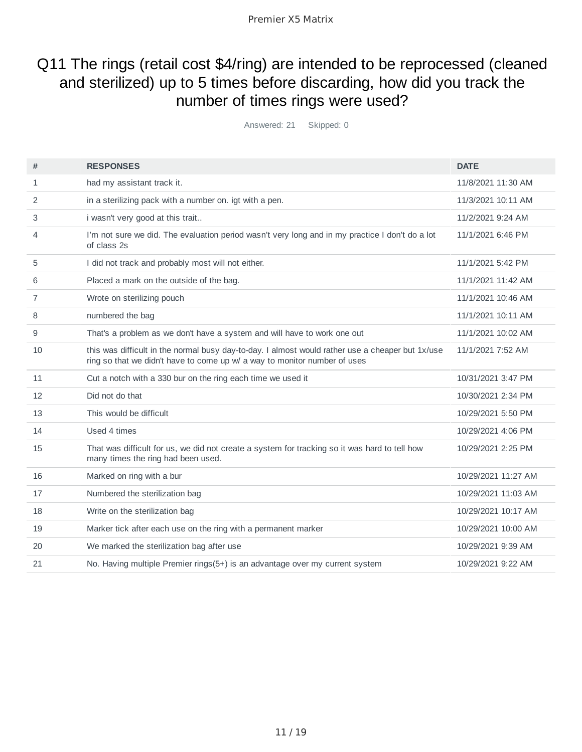Premier X5 Matrix

#### Q11 The rings (retail cost \$4/ring) are intended to be reprocessed (cleaned and sterilized) up to 5 times before discarding, how did you track the number of times rings were used?

Answered: 21 Skipped: 0

| #              | <b>RESPONSES</b>                                                                                                                                                              | <b>DATE</b>         |
|----------------|-------------------------------------------------------------------------------------------------------------------------------------------------------------------------------|---------------------|
| 1              | had my assistant track it.                                                                                                                                                    | 11/8/2021 11:30 AM  |
| 2              | in a sterilizing pack with a number on, igt with a pen.                                                                                                                       | 11/3/2021 10:11 AM  |
| 3              | i wasn't very good at this trait                                                                                                                                              | 11/2/2021 9:24 AM   |
| 4              | I'm not sure we did. The evaluation period wasn't very long and in my practice I don't do a lot<br>of class 2s                                                                | 11/1/2021 6:46 PM   |
| 5              | I did not track and probably most will not either.                                                                                                                            | 11/1/2021 5:42 PM   |
| 6              | Placed a mark on the outside of the bag.                                                                                                                                      | 11/1/2021 11:42 AM  |
| $\overline{7}$ | Wrote on sterilizing pouch                                                                                                                                                    | 11/1/2021 10:46 AM  |
| 8              | numbered the bag                                                                                                                                                              | 11/1/2021 10:11 AM  |
| 9              | That's a problem as we don't have a system and will have to work one out                                                                                                      | 11/1/2021 10:02 AM  |
| 10             | this was difficult in the normal busy day-to-day. I almost would rather use a cheaper but 1x/use<br>ring so that we didn't have to come up w/ a way to monitor number of uses | 11/1/2021 7:52 AM   |
| 11             | Cut a notch with a 330 bur on the ring each time we used it                                                                                                                   | 10/31/2021 3:47 PM  |
| 12             | Did not do that                                                                                                                                                               | 10/30/2021 2:34 PM  |
| 13             | This would be difficult                                                                                                                                                       | 10/29/2021 5:50 PM  |
| 14             | Used 4 times                                                                                                                                                                  | 10/29/2021 4:06 PM  |
| 15             | That was difficult for us, we did not create a system for tracking so it was hard to tell how<br>many times the ring had been used.                                           | 10/29/2021 2:25 PM  |
| 16             | Marked on ring with a bur                                                                                                                                                     | 10/29/2021 11:27 AM |
| 17             | Numbered the sterilization bag                                                                                                                                                | 10/29/2021 11:03 AM |
| 18             | Write on the sterilization bag                                                                                                                                                | 10/29/2021 10:17 AM |
| 19             | Marker tick after each use on the ring with a permanent marker                                                                                                                | 10/29/2021 10:00 AM |
| 20             | We marked the sterilization bag after use                                                                                                                                     | 10/29/2021 9:39 AM  |
| 21             | No. Having multiple Premier rings(5+) is an advantage over my current system                                                                                                  | 10/29/2021 9:22 AM  |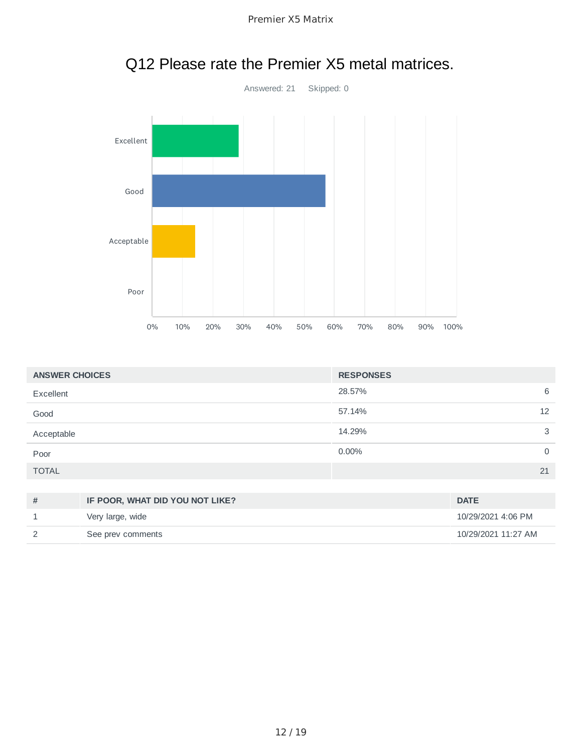

| Premier X5 Matrix |  |
|-------------------|--|
|-------------------|--|

| <b>ANSWER CHOICES</b> |                                 | <b>RESPONSES</b> |                     |
|-----------------------|---------------------------------|------------------|---------------------|
| Excellent             |                                 | 28.57%           | 6                   |
| Good                  |                                 | 57.14%           | 12                  |
| Acceptable            |                                 | 14.29%           | 3                   |
| Poor                  |                                 | 0.00%            | $\mathbf 0$         |
| <b>TOTAL</b>          |                                 |                  | 21                  |
|                       |                                 |                  |                     |
| #                     | IF POOR, WHAT DID YOU NOT LIKE? |                  | <b>DATE</b>         |
| $\mathbf{1}$          | Very large, wide                |                  | 10/29/2021 4:06 PM  |
| 2                     | See prev comments               |                  | 10/29/2021 11:27 AM |

## Q12 Please rate the Premier X5 metal matrices.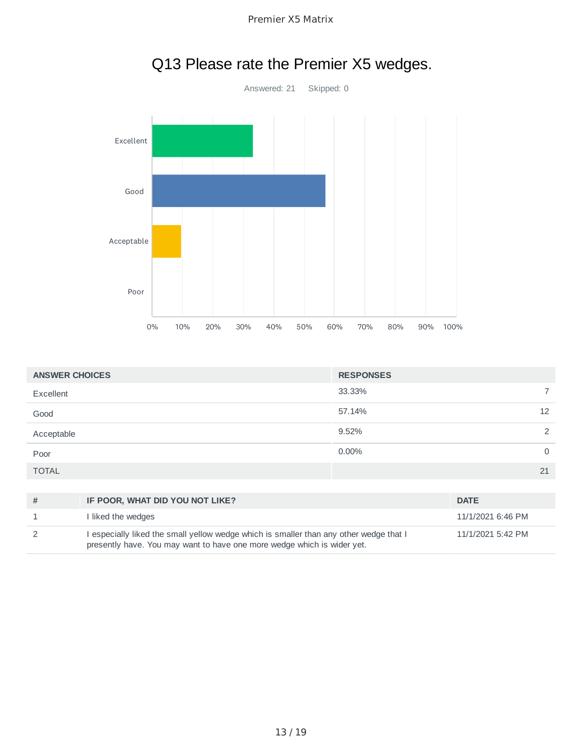

| Premier X5 Matrix |  |
|-------------------|--|
|-------------------|--|

| <b>ANSWER CHOICES</b> |                                                                                      | <b>RESPONSES</b> |                   |             |
|-----------------------|--------------------------------------------------------------------------------------|------------------|-------------------|-------------|
| Excellent             |                                                                                      | 33.33%           |                   | 7           |
| Good                  |                                                                                      | 57.14%           |                   | 12          |
| Acceptable            |                                                                                      | 9.52%            |                   | 2           |
| Poor                  |                                                                                      | $0.00\%$         |                   | $\mathbf 0$ |
| <b>TOTAL</b>          |                                                                                      |                  |                   | 21          |
|                       |                                                                                      |                  |                   |             |
| #                     | IF POOR, WHAT DID YOU NOT LIKE?                                                      |                  | <b>DATE</b>       |             |
| 1                     | I liked the wedges                                                                   |                  | 11/1/2021 6:46 PM |             |
| 2                     | especially liked the small yellow wedge which is smaller than any other wedge that I |                  | 11/1/2021 5:42 PM |             |

presently have. You may want to have one more wedge which is wider yet.

#### Q13 Please rate the Premier X5 wedges.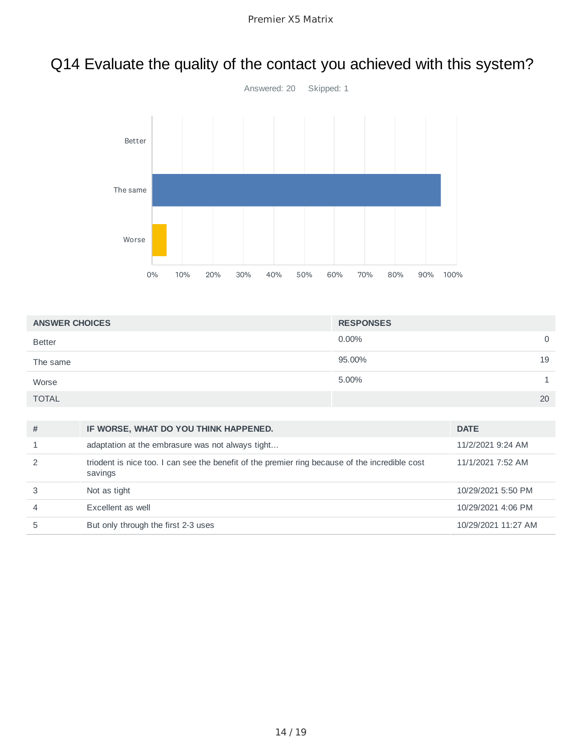### Q14 Evaluate the quality of the contact you achieved with this system?



| <b>ANSWER CHOICES</b> | <b>RESPONSES</b> |    |
|-----------------------|------------------|----|
| <b>Better</b>         | $0.00\%$         | 0  |
| The same              | 95.00%           | 19 |
| Worse                 | 5.00%            |    |
| <b>TOTAL</b>          |                  | 20 |

| #              | IF WORSE, WHAT DO YOU THINK HAPPENED.                                                                     | <b>DATE</b>         |
|----------------|-----------------------------------------------------------------------------------------------------------|---------------------|
|                | adaptation at the embrasure was not always tight                                                          | 11/2/2021 9:24 AM   |
|                | triodent is nice too. I can see the benefit of the premier ring because of the incredible cost<br>savings | 11/1/2021 7:52 AM   |
|                | Not as tight                                                                                              | 10/29/2021 5:50 PM  |
| $\overline{4}$ | Excellent as well                                                                                         | 10/29/2021 4:06 PM  |
| 5              | But only through the first 2-3 uses                                                                       | 10/29/2021 11:27 AM |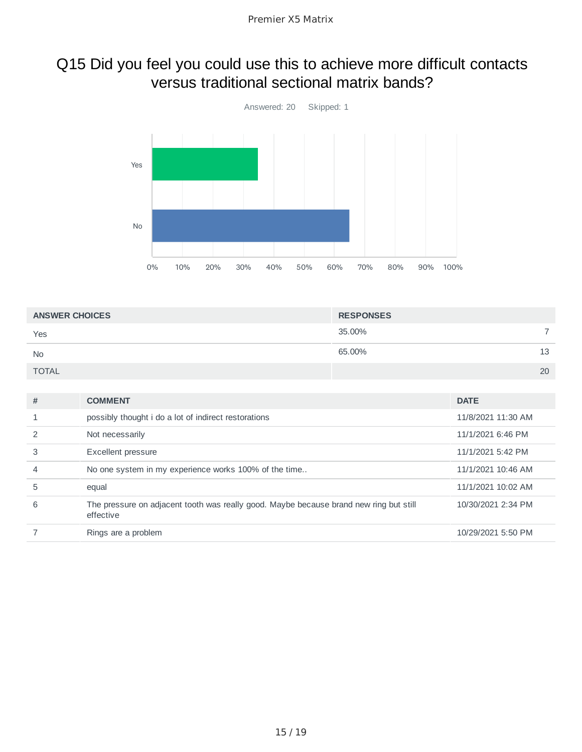#### Q15 Did you feel you could use this to achieve more difficult contacts versus traditional sectional matrix bands?



| <b>ANSWER CHOICES</b> | <b>RESPONSES</b> |  |
|-----------------------|------------------|--|
| Yes                   | 35.00%           |  |
| <b>No</b>             | 65.00%<br>13     |  |
| <b>TOTAL</b>          | 20               |  |

| #              | <b>COMMENT</b>                                                                                      | <b>DATE</b>        |
|----------------|-----------------------------------------------------------------------------------------------------|--------------------|
|                | possibly thought i do a lot of indirect restorations                                                | 11/8/2021 11:30 AM |
|                | Not necessarily                                                                                     | 11/1/2021 6:46 PM  |
| 3              | Excellent pressure                                                                                  | 11/1/2021 5:42 PM  |
| $\overline{4}$ | No one system in my experience works 100% of the time                                               | 11/1/2021 10:46 AM |
| 5              | equal                                                                                               | 11/1/2021 10:02 AM |
| 6              | The pressure on adjacent tooth was really good. Maybe because brand new ring but still<br>effective | 10/30/2021 2:34 PM |
|                | Rings are a problem                                                                                 | 10/29/2021 5:50 PM |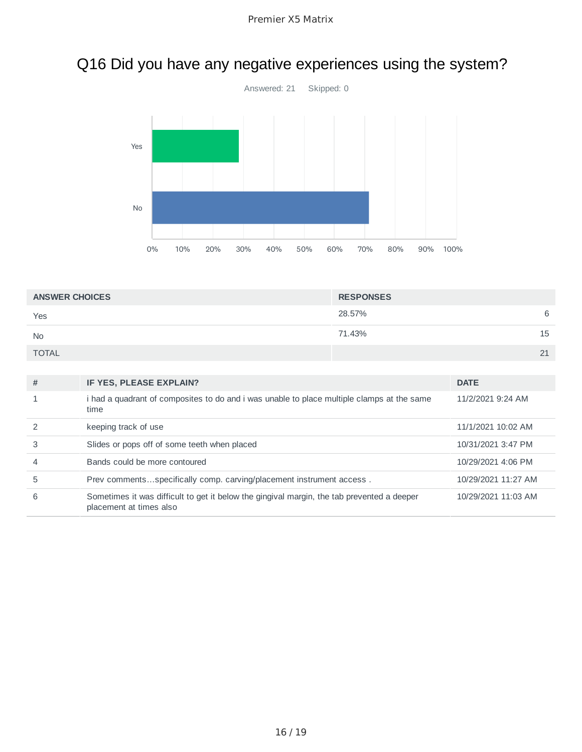# Q16 Did you have any negative experiences using the system?



| <b>ANSWER CHOICES</b> | <b>RESPONSES</b> |    |
|-----------------------|------------------|----|
| Yes                   | 28.57%           | 6  |
| <b>No</b>             | 71.43%           | 15 |
| <b>TOTAL</b>          |                  | 21 |

| #              | IF YES, PLEASE EXPLAIN?                                                                                               | <b>DATE</b>         |
|----------------|-----------------------------------------------------------------------------------------------------------------------|---------------------|
|                | i had a quadrant of composites to do and i was unable to place multiple clamps at the same<br>time                    | 11/2/2021 9:24 AM   |
|                | keeping track of use                                                                                                  | 11/1/2021 10:02 AM  |
| 3              | Slides or pops off of some teeth when placed                                                                          | 10/31/2021 3:47 PM  |
| $\overline{4}$ | Bands could be more contoured                                                                                         | 10/29/2021 4:06 PM  |
| 5              | Prev commentsspecifically comp. carving/placement instrument access.                                                  | 10/29/2021 11:27 AM |
| 6              | Sometimes it was difficult to get it below the gingival margin, the tab prevented a deeper<br>placement at times also | 10/29/2021 11:03 AM |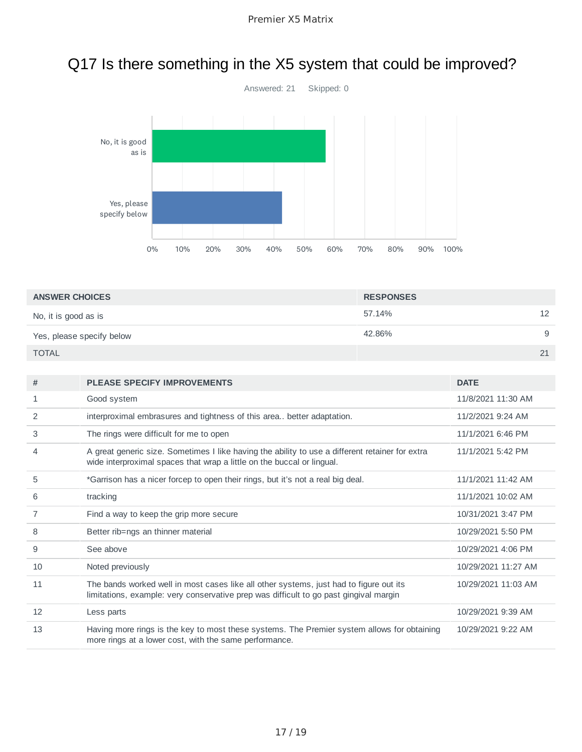# Q17 Is there something in the X5 system that could be improved?



| <b>ANSWER CHOICES</b>     | <b>RESPONSES</b> |    |
|---------------------------|------------------|----|
| No, it is good as is      | 57.14%           | 12 |
| Yes, please specify below | 42.86%           | 9  |
| <b>TOTAL</b>              |                  | 21 |

| #  | <b>PLEASE SPECIFY IMPROVEMENTS</b>                                                                                                                                              | <b>DATE</b>         |
|----|---------------------------------------------------------------------------------------------------------------------------------------------------------------------------------|---------------------|
| 1  | Good system                                                                                                                                                                     | 11/8/2021 11:30 AM  |
| 2  | interproximal embrasures and tightness of this area better adaptation.                                                                                                          | 11/2/2021 9:24 AM   |
| 3  | The rings were difficult for me to open                                                                                                                                         | 11/1/2021 6:46 PM   |
| 4  | A great generic size. Sometimes I like having the ability to use a different retainer for extra<br>wide interproximal spaces that wrap a little on the buccal or lingual.       | 11/1/2021 5:42 PM   |
| 5  | *Garrison has a nicer forcep to open their rings, but it's not a real big deal.                                                                                                 | 11/1/2021 11:42 AM  |
| 6  | tracking                                                                                                                                                                        | 11/1/2021 10:02 AM  |
| 7  | Find a way to keep the grip more secure                                                                                                                                         | 10/31/2021 3:47 PM  |
| 8  | Better rib=ngs an thinner material                                                                                                                                              | 10/29/2021 5:50 PM  |
| 9  | See above                                                                                                                                                                       | 10/29/2021 4:06 PM  |
| 10 | Noted previously                                                                                                                                                                | 10/29/2021 11:27 AM |
| 11 | The bands worked well in most cases like all other systems, just had to figure out its<br>limitations, example: very conservative prep was difficult to go past gingival margin | 10/29/2021 11:03 AM |
| 12 | Less parts                                                                                                                                                                      | 10/29/2021 9:39 AM  |
| 13 | Having more rings is the key to most these systems. The Premier system allows for obtaining<br>more rings at a lower cost, with the same performance.                           | 10/29/2021 9:22 AM  |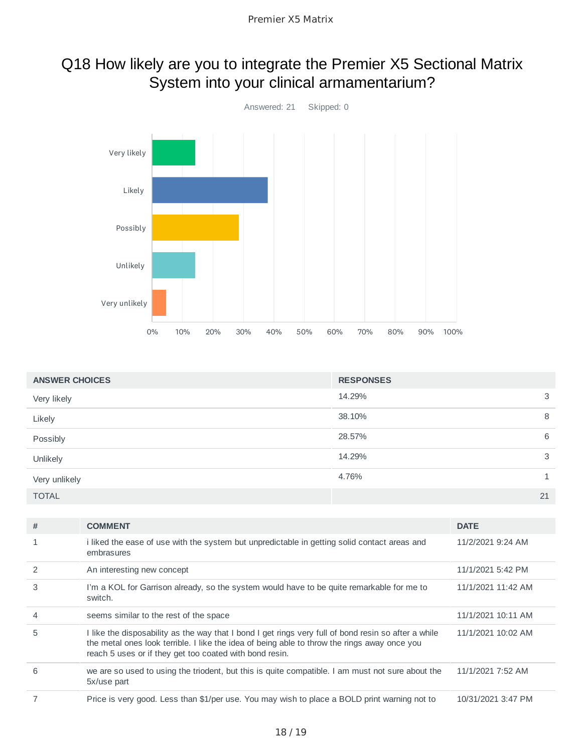### Q18 How likely are you to integrate the Premier X5 Sectional Matrix System into your clinical armamentarium?



| <b>ANSWER CHOICES</b> | <b>RESPONSES</b> |    |
|-----------------------|------------------|----|
| Very likely           | 14.29%           | 3  |
| Likely                | 38.10%           | 8  |
| Possibly              | 28.57%           | 6  |
| Unlikely              | 14.29%           | 3  |
| Very unlikely         | 4.76%            |    |
| <b>TOTAL</b>          |                  | 21 |

| #             | <b>COMMENT</b>                                                                                                                                                                                                                                                  | <b>DATE</b>        |
|---------------|-----------------------------------------------------------------------------------------------------------------------------------------------------------------------------------------------------------------------------------------------------------------|--------------------|
| 1             | i liked the ease of use with the system but unpredictable in getting solid contact areas and<br>embrasures                                                                                                                                                      | 11/2/2021 9:24 AM  |
| $\mathcal{P}$ | An interesting new concept                                                                                                                                                                                                                                      | 11/1/2021 5:42 PM  |
| 3             | I'm a KOL for Garrison already, so the system would have to be quite remarkable for me to<br>switch.                                                                                                                                                            | 11/1/2021 11:42 AM |
| 4             | seems similar to the rest of the space                                                                                                                                                                                                                          | 11/1/2021 10:11 AM |
| 5             | I like the disposability as the way that I bond I get rings very full of bond resin so after a while<br>the metal ones look terrible. I like the idea of being able to throw the rings away once you<br>reach 5 uses or if they get too coated with bond resin. | 11/1/2021 10:02 AM |
| 6             | we are so used to using the triodent, but this is quite compatible. I am must not sure about the<br>5x/use part                                                                                                                                                 | 11/1/2021 7:52 AM  |
|               | Price is very good. Less than \$1/per use. You may wish to place a BOLD print warning not to                                                                                                                                                                    | 10/31/2021 3:47 PM |